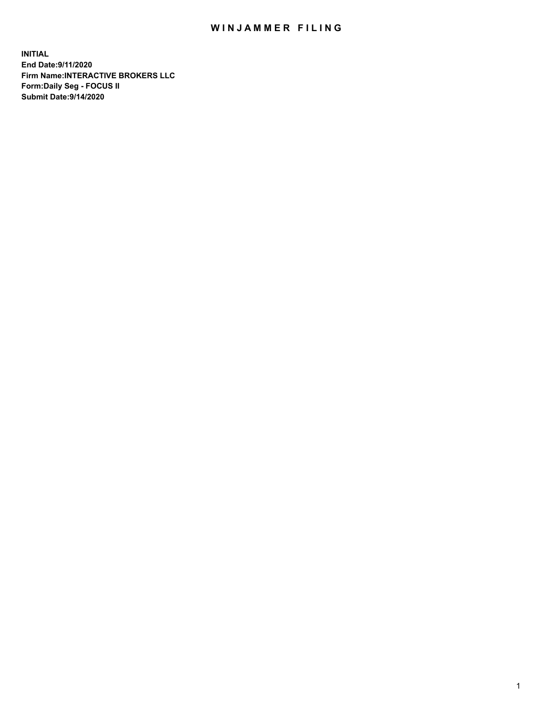## WIN JAMMER FILING

**INITIAL End Date:9/11/2020 Firm Name:INTERACTIVE BROKERS LLC Form:Daily Seg - FOCUS II Submit Date:9/14/2020**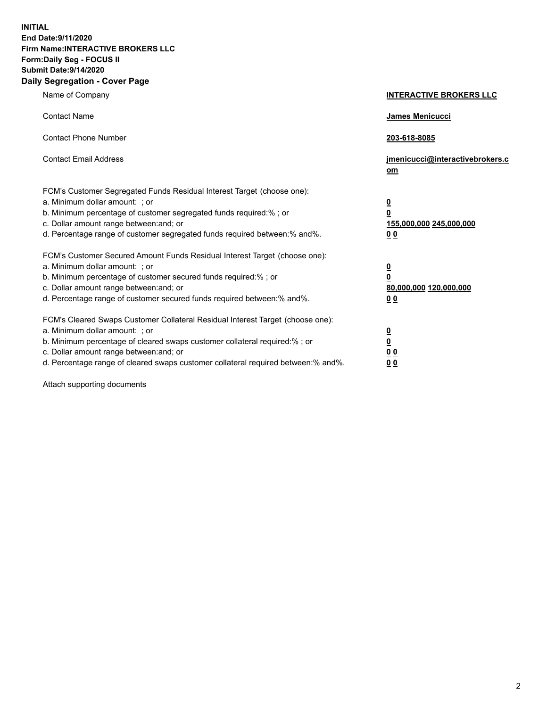**INITIAL End Date:9/11/2020 Firm Name:INTERACTIVE BROKERS LLC Form:Daily Seg - FOCUS II Submit Date:9/14/2020 Daily Segregation - Cover Page**

| Name of Company                                                                                                                                                                                                                                                                                                                | <b>INTERACTIVE BROKERS LLC</b>                                                   |  |
|--------------------------------------------------------------------------------------------------------------------------------------------------------------------------------------------------------------------------------------------------------------------------------------------------------------------------------|----------------------------------------------------------------------------------|--|
| <b>Contact Name</b>                                                                                                                                                                                                                                                                                                            | James Menicucci                                                                  |  |
| <b>Contact Phone Number</b>                                                                                                                                                                                                                                                                                                    | 203-618-8085                                                                     |  |
| <b>Contact Email Address</b>                                                                                                                                                                                                                                                                                                   | jmenicucci@interactivebrokers.c<br>om                                            |  |
| FCM's Customer Segregated Funds Residual Interest Target (choose one):<br>a. Minimum dollar amount: ; or<br>b. Minimum percentage of customer segregated funds required:% ; or<br>c. Dollar amount range between: and; or<br>d. Percentage range of customer segregated funds required between:% and%.                         | <u>0</u><br>$\overline{\mathbf{0}}$<br>155,000,000 245,000,000<br>0 <sub>0</sub> |  |
| FCM's Customer Secured Amount Funds Residual Interest Target (choose one):<br>a. Minimum dollar amount: ; or<br>b. Minimum percentage of customer secured funds required:% ; or<br>c. Dollar amount range between: and; or<br>d. Percentage range of customer secured funds required between:% and%.                           | <u>0</u><br>$\overline{\mathbf{0}}$<br>80,000,000 120,000,000<br>0 <sub>0</sub>  |  |
| FCM's Cleared Swaps Customer Collateral Residual Interest Target (choose one):<br>a. Minimum dollar amount: ; or<br>b. Minimum percentage of cleared swaps customer collateral required:% ; or<br>c. Dollar amount range between: and; or<br>d. Percentage range of cleared swaps customer collateral required between:% and%. | <u>0</u><br>$\underline{\mathbf{0}}$<br>0 <sub>0</sub><br>0 <sub>0</sub>         |  |

Attach supporting documents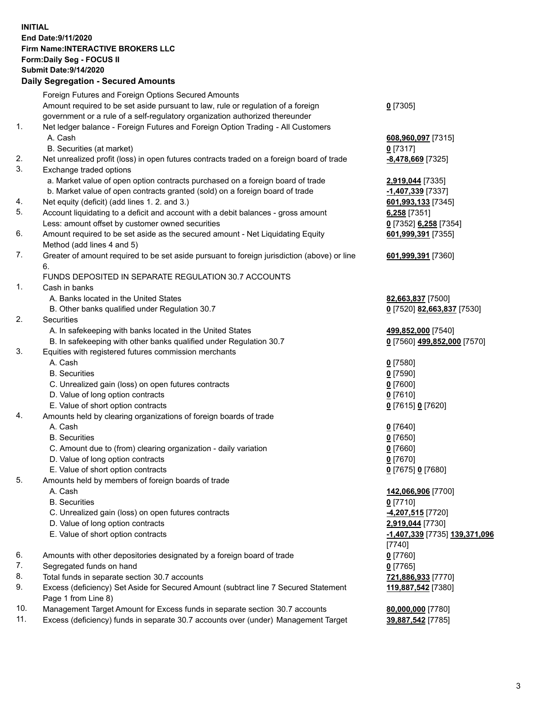**INITIAL End Date:9/11/2020 Firm Name:INTERACTIVE BROKERS LLC Form:Daily Seg - FOCUS II Submit Date:9/14/2020 Daily Segregation - Secured Amounts**

## Foreign Futures and Foreign Options Secured Amounts Amount required to be set aside pursuant to law, rule or regulation of a foreign government or a rule of a self-regulatory organization authorized thereunder **0** [7305] 1. Net ledger balance - Foreign Futures and Foreign Option Trading - All Customers A. Cash **608,960,097** [7315] B. Securities (at market) **0** [7317] 2. Net unrealized profit (loss) in open futures contracts traded on a foreign board of trade **-8,478,669** [7325] 3. Exchange traded options a. Market value of open option contracts purchased on a foreign board of trade **2,919,044** [7335] b. Market value of open contracts granted (sold) on a foreign board of trade **-1,407,339** [7337] 4. Net equity (deficit) (add lines 1. 2. and 3.) **601,993,133** [7345] 5. Account liquidating to a deficit and account with a debit balances - gross amount **6,258** [7351] Less: amount offset by customer owned securities **0** [7352] **6,258** [7354] 6. Amount required to be set aside as the secured amount - Net Liquidating Equity Method (add lines 4 and 5) **601,999,391** [7355] 7. Greater of amount required to be set aside pursuant to foreign jurisdiction (above) or line 6. **601,999,391** [7360] FUNDS DEPOSITED IN SEPARATE REGULATION 30.7 ACCOUNTS 1. Cash in banks A. Banks located in the United States **82,663,837** [7500] B. Other banks qualified under Regulation 30.7 **0** [7520] **82,663,837** [7530] 2. Securities A. In safekeeping with banks located in the United States **499,852,000** [7540] B. In safekeeping with other banks qualified under Regulation 30.7 **0** [7560] **499,852,000** [7570] 3. Equities with registered futures commission merchants A. Cash **0** [7580] B. Securities **0** [7590] C. Unrealized gain (loss) on open futures contracts **0** [7600] D. Value of long option contracts **0** [7610] E. Value of short option contracts **0** [7615] **0** [7620] 4. Amounts held by clearing organizations of foreign boards of trade A. Cash **0** [7640] B. Securities **0** [7650] C. Amount due to (from) clearing organization - daily variation **0** [7660] D. Value of long option contracts **0** [7670] E. Value of short option contracts **0** [7675] **0** [7680] 5. Amounts held by members of foreign boards of trade A. Cash **142,066,906** [7700] B. Securities **0** [7710] C. Unrealized gain (loss) on open futures contracts **-4,207,515** [7720] D. Value of long option contracts **2,919,044** [7730] E. Value of short option contracts **-1,407,339** [7735] **139,371,096** [7740] 6. Amounts with other depositories designated by a foreign board of trade **0** [7760] 7. Segregated funds on hand **0** [7765] 8. Total funds in separate section 30.7 accounts **721,886,933** [7770] 9. Excess (deficiency) Set Aside for Secured Amount (subtract line 7 Secured Statement Page 1 from Line 8) **119,887,542** [7380] 10. Management Target Amount for Excess funds in separate section 30.7 accounts **80,000,000** [7780] 11. Excess (deficiency) funds in separate 30.7 accounts over (under) Management Target **39,887,542** [7785]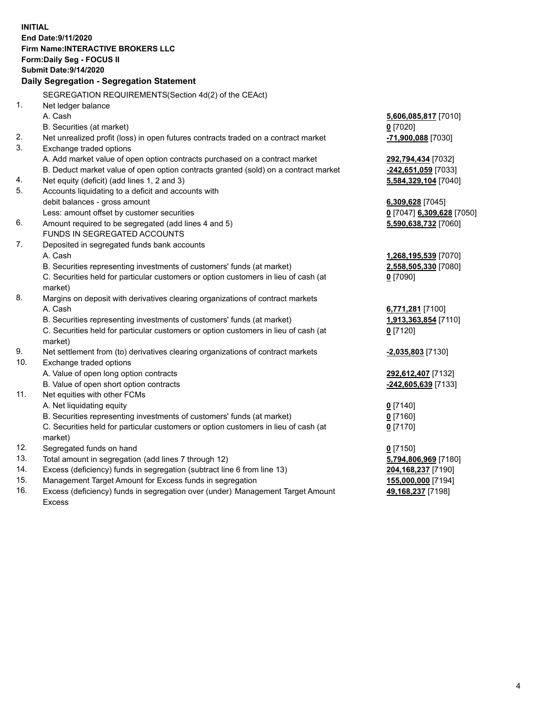**INITIAL End Date:9/11/2020 Firm Name:INTERACTIVE BROKERS LLC Form:Daily Seg - FOCUS II Submit Date:9/14/2020 Daily Segregation - Segregation Statement** SEGREGATION REQUIREMENTS(Section 4d(2) of the CEAct) 1. Net ledger balance A. Cash **5,606,085,817** [7010] B. Securities (at market) **0** [7020] 2. Net unrealized profit (loss) in open futures contracts traded on a contract market **-71,900,088** [7030] 3. Exchange traded options A. Add market value of open option contracts purchased on a contract market **292,794,434** [7032] B. Deduct market value of open option contracts granted (sold) on a contract market **-242,651,059** [7033] 4. Net equity (deficit) (add lines 1, 2 and 3) **5,584,329,104** [7040] 5. Accounts liquidating to a deficit and accounts with debit balances - gross amount **6,309,628** [7045] Less: amount offset by customer securities **0** [7047] **6,309,628** [7050] 6. Amount required to be segregated (add lines 4 and 5) **5,590,638,732** [7060] FUNDS IN SEGREGATED ACCOUNTS 7. Deposited in segregated funds bank accounts A. Cash **1,268,195,539** [7070] B. Securities representing investments of customers' funds (at market) **2,558,505,330** [7080] C. Securities held for particular customers or option customers in lieu of cash (at market) **0** [7090] 8. Margins on deposit with derivatives clearing organizations of contract markets A. Cash **6,771,281** [7100] B. Securities representing investments of customers' funds (at market) **1,913,363,854** [7110] C. Securities held for particular customers or option customers in lieu of cash (at market) **0** [7120] 9. Net settlement from (to) derivatives clearing organizations of contract markets **-2,035,803** [7130] 10. Exchange traded options A. Value of open long option contracts **292,612,407** [7132] B. Value of open short option contracts **-242,605,639** [7133] 11. Net equities with other FCMs A. Net liquidating equity **0** [7140] B. Securities representing investments of customers' funds (at market) **0** [7160] C. Securities held for particular customers or option customers in lieu of cash (at market) **0** [7170] 12. Segregated funds on hand **0** [7150] 13. Total amount in segregation (add lines 7 through 12) **5,794,806,969** [7180] 14. Excess (deficiency) funds in segregation (subtract line 6 from line 13) **204,168,237** [7190] 15. Management Target Amount for Excess funds in segregation **155,000,000** [7194]

16. Excess (deficiency) funds in segregation over (under) Management Target Amount Excess

**49,168,237** [7198]